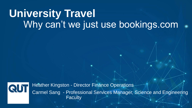# **University Travel**  Why can't we just use bookings.com

Heather Kingston - Director Finance Operations QU Carmel Sang - Professional Services Manager, Science and Engineering **Faculty**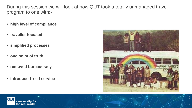During this session we will look at how QUT took a totally unmanaged travel program to one with:-

- **high level of compliance**
- **traveller focused**
- **simplified processes**
- **one point of truth**
- **removed bureaucracy**
- **introduced self service**





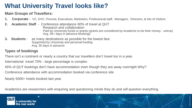## **What University Travel looks like?**

#### **Main Groups of Travellers:**

- **1. Corporate**  VC, DVC, Provost, Executives, Marketers, Professional staff, Managers, Directors, & lots of Visitors
- **2. Academic Staff**  Conference attendance 60% of travel at QUT Research and collaboration Paid by University funds or grants (grants are considered by Academic to be their money - untrue) Avg. 35+ days in advance bookings
- **3. Students** as many destinations as possible for the lowest fare. Supported by University and personal funding Avg. 35 days in advance

#### **Types of bookings**

There isn't a continent or nearly a country that our travellers don't travel too in a year.

International travel 70% - large percentage is complex

45% of QUT bookings don't have accommodation even though they are away overnight Why?

Conference attendance with accommodation booked via conference site

Nearly 5000+ hotels booked last year.

Academics are researchers with enquiring and questioning minds they do and will question everything.

QUΤ a universitv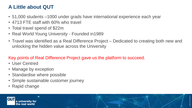### **A Little about QUT**

- 51,000 students –1000 under grads have international experience each year
- 4713 FTE staff with 60% who travel
- Total travel spend of \$22m
- Real World Young University Founded in1989
- Travel was identified as a Real Difference Project Dedicated to creating both new and unlocking the hidden value across the University

#### Key points of Real Difference Project gave us the platform to succeed.

- User Centred
- Manage by exception
- Standardise where possible
- Simple sustainable customer journey
- Rapid change



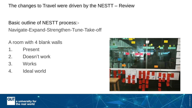The changes to Travel were driven by the NESTT – Review

Basic outline of NESTT process:-

Navigate-Expand-Strengthen-Tune-Take-off

A room with 4 blank walls

- 1. Present
- 2. Doesn't work
- 3. Works
- 4. Ideal world



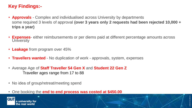### **Key Findings:-**

- **Approvals** Complex and individualised across University by departments some required 3 levels of approval **(over 3 years only 2 requests had been rejected 10,000 + trips a year)**
- **Expenses** either reimbursements or per diems paid at different percentage amounts across **University**
- **Leakage** from program over 45%
- **Travellers wanted**  No duplication of work approvals, system, expenses
- Average Age of **Staff Traveller 54 Gen X** and **Student 22 Gen Z**  Traveller ages range from 17 to 88
- No idea of group/retreat/meeting spend
- One booking the **end to end process was costed at \$450.00**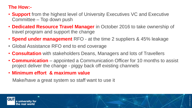#### **The How:-**

- **Support** from the highest level of University Executives VC and Executive Committee – Top down push
- **Dedicated Resource Travel Manager** in October 2016 to take ownership of travel program and support the change
- **Spend under management** RFO at the time 2 suppliers & 45% leakage
- Global Assistance RFO end to end coverage
- **Consultation** with stakeholders Deans, Managers and lots of Travellers
- **Communication** appointed a Communication Officer for 10 months to assist project deliver the change - piggy back off existing channels
- **Minimum effort & maximum value**

Make/have a great system so staff want to use it



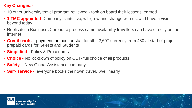#### **Key Changes:-**

- 10 other university travel program reviewed took on board their lessons learned
- **1 TMC appointed-** Company is intuitive, will grow and change with us, and have a vision beyond today
- Replicate in Business /Corporate process same availability travellers can have directly on the internet
- **Credit cards –** payment method for staff for all 2,697 currently from 480 at start of project, prepaid cards for Guests and Students
- **Simplified -** Policy & Procedures
- **Choice -** No lockdown of policy on OBT- full choice of all products
- **Safety -** New Global Assistance company
- **Self- service -** everyone books their own travel…well nearly



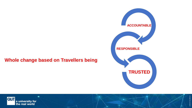#### **Whole change based on Travellers being**





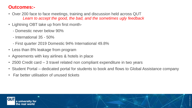#### **Outcomes:-**

- Over 200 face to face meetings, training and discussion held across QUT *Learn to accept the good, the bad, and the sometimes ugly feedback*
- Lightning OBT take up from first month-
	- Domestic never below 90%
	- International 35 50%
	- First quarter 2019 Domestic 94% International 49.8%
- Less than 8% leakage from program
- Agreements with key airlines & hotels in place
- 2500 Credit card 3 travel related non compliant expenditure in two years
- Student Portal dedicated portal for students to book and flows to Global Assistance company
- Far better utilisation of unused tickets

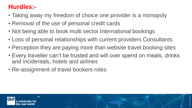## **Hurdles:-**

- Taking away my freedom of choice one provider is a monopoly
- Removal of the use of personal credit cards
- Not being able to book multi sector International bookings
- Loss of personal relationships with current providers Consultants
- Perception they are paying more than website travel booking sites
- Every traveller can't be trusted and will over spend on meals, drinks and incidentals, hotels and airlines

CRICOS No.00213J

• Re-assignment of travel bookers roles

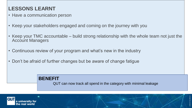### **LESSONS LEARNT**

- Have a communication person
- Keep your stakeholders engaged and coming on the journey with you
- Keep your TMC accountable build strong relationship with the whole team not just the Account Managers
- Continuous review of your program and what's new in the industry
- Don't be afraid of further changes but be aware of change fatigue

**BENEFIT** QUT can now track all spend in the category with minimal leakage

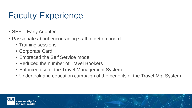# Faculty Experience

- SEF = Early Adopter
- Passionate about encouraging staff to get on board
	- Training sessions
	- Corporate Card
	- Embraced the Self Service model
	- Reduced the number of Travel Bookers
	- Enforced use of the Travel Management System
	- Undertook and education campaign of the benefits of the Travel Mgt System

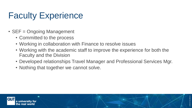## Faculty Experience

- SEF = Ongoing Management
	- Committed to the process
	- Working in collaboration with Finance to resolve issues
	- Working with the academic staff to improve the experience for both the Faculty and the Division
	- Developed relationships Travel Manager and Professional Services Mgr.
	- Nothing that together we cannot solve.

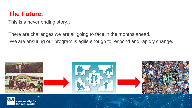## **The Future**.

This is a never ending story…

There are challenges we are all going to face in the months ahead. We are ensuring our program is agile enough to respond and rapidly change.